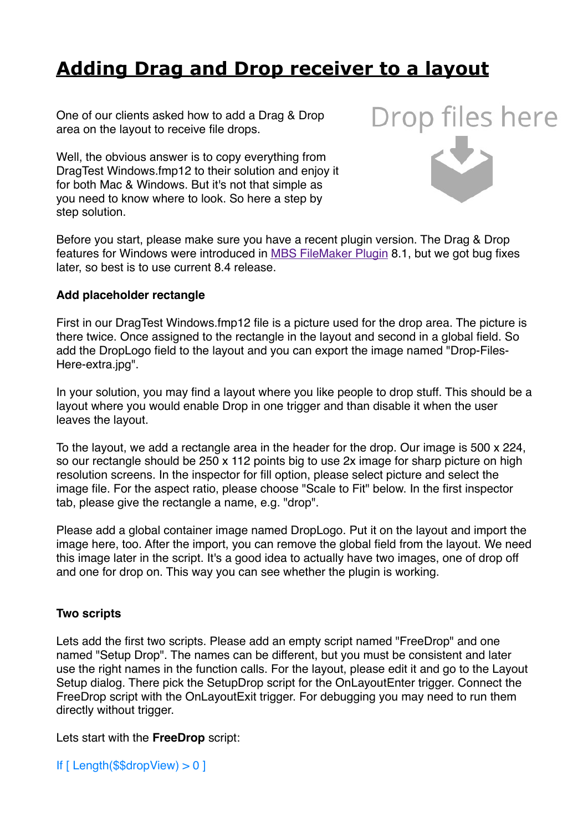# **[Adding Drag and Drop receiver to a layout](https://www.mbs-plugins.com/archive/2018-10-08/Adding_Drag_and_Drop_receiver_)**

One of our clients asked how to add a Drag & Drop area on the layout to receive file drops.

Well, the obvious answer is to copy everything from DragTest Windows.fmp12 to their solution and enjoy it for both Mac & Windows. But it's not that simple as you need to know where to look. So here a step by step solution.



Before you start, please make sure you have a recent plugin version. The Drag & Drop features for Windows were introduced in [MBS FileMaker Plugin](https://www.monkeybreadsoftware.com/filemaker/) 8.1, but we got bug fixes later, so best is to use current 8.4 release.

### **Add placeholder rectangle**

First in our DragTest Windows.fmp12 file is a picture used for the drop area. The picture is there twice. Once assigned to the rectangle in the layout and second in a global field. So add the DropLogo field to the layout and you can export the image named "Drop-Files-Here-extra.jpg".

In your solution, you may find a layout where you like people to drop stuff. This should be a layout where you would enable Drop in one trigger and than disable it when the user leaves the layout.

To the layout, we add a rectangle area in the header for the drop. Our image is 500 x 224, so our rectangle should be 250 x 112 points big to use 2x image for sharp picture on high resolution screens. In the inspector for fill option, please select picture and select the image file. For the aspect ratio, please choose "Scale to Fit" below. In the first inspector tab, please give the rectangle a name, e.g. "drop".

Please add a global container image named DropLogo. Put it on the layout and import the image here, too. After the import, you can remove the global field from the layout. We need this image later in the script. It's a good idea to actually have two images, one of drop off and one for drop on. This way you can see whether the plugin is working.

# **Two scripts**

Lets add the first two scripts. Please add an empty script named "FreeDrop" and one named "Setup Drop". The names can be different, but you must be consistent and later use the right names in the function calls. For the layout, please edit it and go to the Layout Setup dialog. There pick the SetupDrop script for the OnLayoutEnter trigger. Connect the FreeDrop script with the OnLayoutExit trigger. For debugging you may need to run them directly without trigger.

Lets start with the **FreeDrop** script:

If [ Length(\$\$dropView) > 0 ]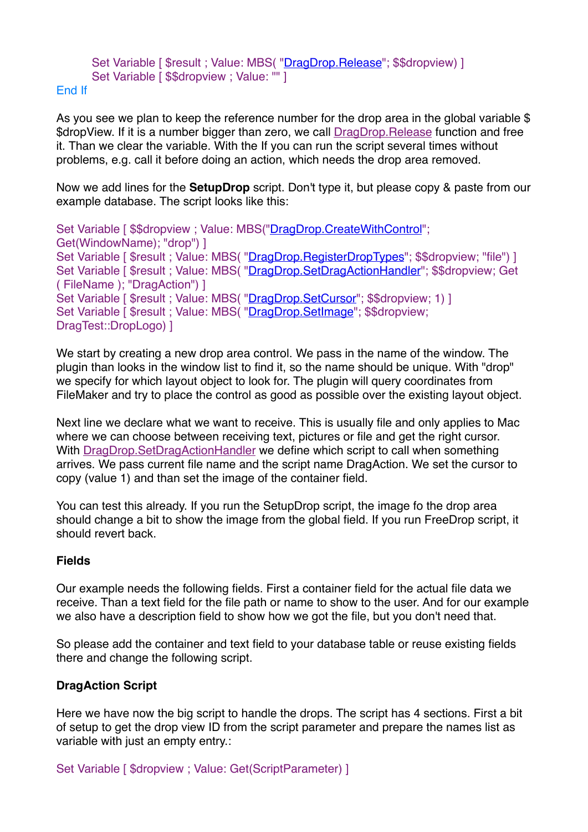# Set Variable [ \$result ; Value: MBS( ["DragDrop.Release"](http://www.mbsplugins.eu/DragDropRelease.shtml); \$\$dropview) ] Set Variable [ \$\$dropview ; Value: "" ]

#### End If

As you see we plan to keep the reference number for the drop area in the global variable \$ \$dropView. If it is a number bigger than zero, we call [DragDrop.Release](http://www.mbsplugins.eu/DragDropRelease.shtml) function and free it. Than we clear the variable. With the If you can run the script several times without problems, e.g. call it before doing an action, which needs the drop area removed.

Now we add lines for the **SetupDrop** script. Don't type it, but please copy & paste from our example database. The script looks like this:

Set Variable [ \$\$dropview ; Value: MBS(["DragDrop.CreateWithControl](http://www.mbsplugins.eu/DragDropCreateWithControl.shtml)"; Get(WindowName); "drop") ] Set Variable [ \$result ; Value: MBS( "DragDrop. RegisterDropTypes"; \$\$dropview; "file") ] Set Variable [ \$result ; Value: MBS( ["DragDrop.SetDragActionHandler](http://www.mbsplugins.eu/DragDropSetDragActionHandler.shtml)"; \$\$dropview; Get ( FileName ); "DragAction") ] Set Variable [ \$result : Value: MBS( ["DragDrop.SetCursor"](http://www.mbsplugins.eu/DragDropSetCursor.shtml); \$\$dropview; 1) ] Set Variable [ \$result ; Value: MBS( "DragDrop. SetImage"; \$\$dropview; DragTest::DropLogo) ]

We start by creating a new drop area control. We pass in the name of the window. The plugin than looks in the window list to find it, so the name should be unique. With "drop" we specify for which layout object to look for. The plugin will query coordinates from FileMaker and try to place the control as good as possible over the existing layout object.

Next line we declare what we want to receive. This is usually file and only applies to Mac where we can choose between receiving text, pictures or file and get the right cursor. With [DragDrop.SetDragActionHandler](http://www.mbsplugins.eu/DragDropSetDragActionHandler.shtml) we define which script to call when something arrives. We pass current file name and the script name DragAction. We set the cursor to copy (value 1) and than set the image of the container field.

You can test this already. If you run the SetupDrop script, the image fo the drop area should change a bit to show the image from the global field. If you run FreeDrop script, it should revert back.

# **Fields**

Our example needs the following fields. First a container field for the actual file data we receive. Than a text field for the file path or name to show to the user. And for our example we also have a description field to show how we got the file, but you don't need that.

So please add the container and text field to your database table or reuse existing fields there and change the following script.

# **DragAction Script**

Here we have now the big script to handle the drops. The script has 4 sections. First a bit of setup to get the drop view ID from the script parameter and prepare the names list as variable with just an empty entry.:

Set Variable [ \$dropview ; Value: Get(ScriptParameter) ]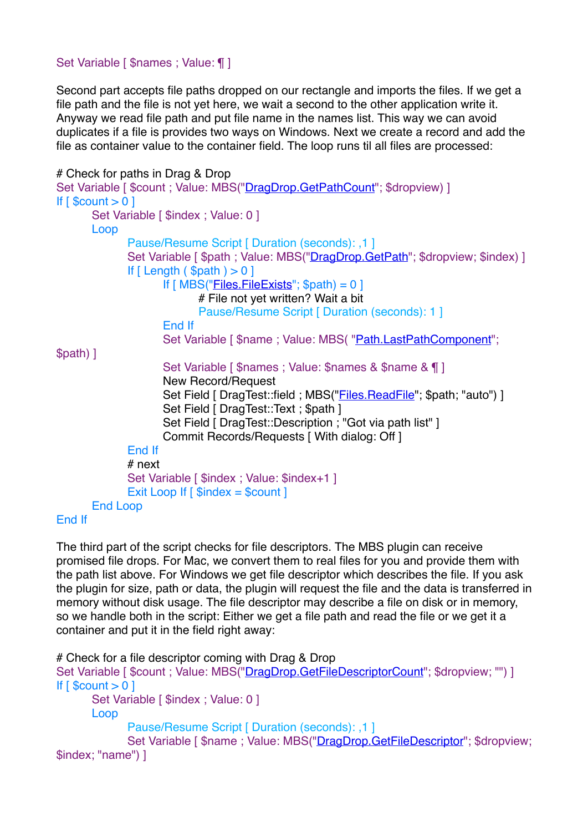# Set Variable [ \$names ; Value: ¶ ]

Second part accepts file paths dropped on our rectangle and imports the files. If we get a file path and the file is not yet here, we wait a second to the other application write it. Anyway we read file path and put file name in the names list. This way we can avoid duplicates if a file is provides two ways on Windows. Next we create a record and add the file as container value to the container field. The loop runs til all files are processed:

```
# Check for paths in Drag & Drop
"DragDrop.GetPathCount"; $dropview) ]
If \lceil $count > 0 \rceilSet Variable [ $index ; Value: 0 ]
     Loop
           Pause/Resume Script [ Duration (seconds): ,1 ]
           "DragDrop.GetPath"; $dropview; $index) ]
           If [ Length ( $path ) > 0 ]
                 If Files.FileExists"; $path) = 0]
                       # File not yet written? Wait a bit
                       Pause/Resume Script [ Duration (seconds): 1 ]
                 End If
                 "Path.LastPathComponent";
$path) ]
                 Set Variable [ $names ; Value: $names & $name & ¶ ]
                 New Record/Request
                 "Files.ReadFile"; $path; "auto") ]
                 Set Field [ DragTest::Text : $path ]
                 Set Field [ DragTest::Description ; "Got via path list" ]
                 Commit Records/Requests [ With dialog: Off ]
           End If
           # next
           Set Variable [ $index ; Value: $index+1 ]
           Exit Loop If \lceil $index = $count \rceilEnd Loop
```

```
End If
```
The third part of the script checks for file descriptors. The MBS plugin can receive promised file drops. For Mac, we convert them to real files for you and provide them with the path list above. For Windows we get file descriptor which describes the file. If you ask the plugin for size, path or data, the plugin will request the file and the data is transferred in memory without disk usage. The file descriptor may describe a file on disk or in memory, so we handle both in the script: Either we get a file path and read the file or we get it a container and put it in the field right away:

```
# Check for a file descriptor coming with Drag & Drop
"DragDrop.GetFileDescriptorCount"; $dropview; "") ]
If \lceil $count > 0 \rceilSet Variable [ $index ; Value: 0 ]
     Loop
           Pause/Resume Script [ Duration (seconds): ,1 ]
           DragDrop.GetFileDescriptor"; $dropview;
$index; "name") ]
```